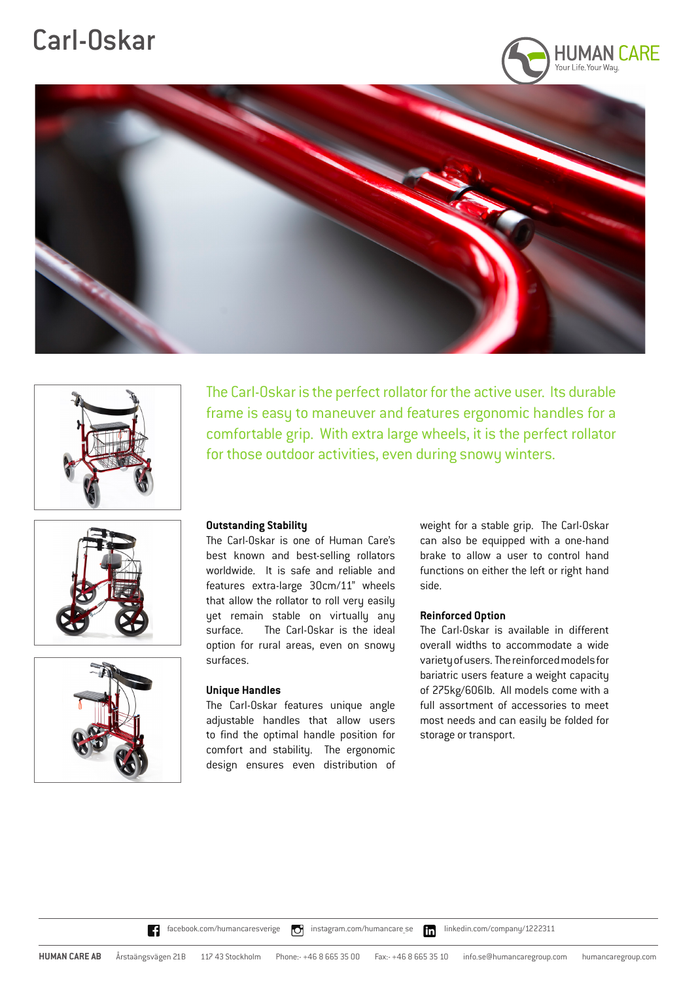# Carl-Oskar











### **Outstanding Stability**

The Carl-Oskar is one of Human Care's best known and best-selling rollators worldwide. It is safe and reliable and features extra-large 30cm/11" wheels that allow the rollator to roll very easily yet remain stable on virtually any surface. The Carl-Oskar is the ideal option for rural areas, even on snowy surfaces.

### **Unique Handles**

The Carl-Oskar features unique angle adjustable handles that allow users to find the optimal handle position for comfort and stability. The ergonomic design ensures even distribution of weight for a stable grip. The Carl-Oskar can also be equipped with a one-hand brake to allow a user to control hand functions on either the left or right hand side.

### **Reinforced Option**

The Carl-Oskar is the perfect rollator for the active user. Its durable frame is easy to maneuver and features ergonomic handles for a comfortable grip. With extra large wheels, it is the perfect rollator

for those outdoor activities, even during snowy winters.

The Carl-Oskar is available in different overall widths to accommodate a wide variety of users. The reinforced models for bariatric users feature a weight capacity of 275kg/606lb. All models come with a full assortment of accessories to meet most needs and can easily be folded for storage or transport.